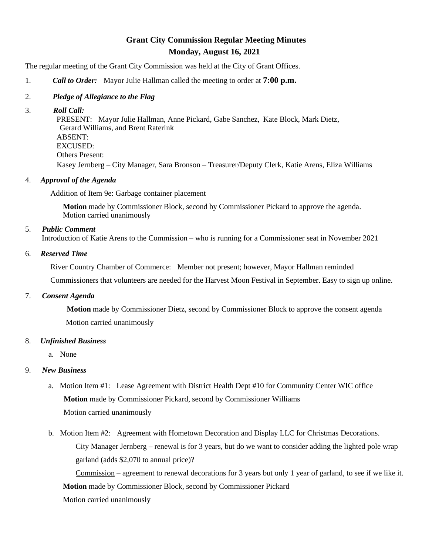## **Grant City Commission Regular Meeting Minutes Monday, August 16, 2021**

The regular meeting of the Grant City Commission was held at the City of Grant Offices.

- 1. *Call to Order:* Mayor Julie Hallman called the meeting to order at **7:00 p.m.**
- 2. *Pledge of Allegiance to the Flag*
- 3. *Roll Call:*

 PRESENT: Mayor Julie Hallman, Anne Pickard, Gabe Sanchez, Kate Block, Mark Dietz, Gerard Williams, and Brent Raterink ABSENT: EXCUSED: Others Present: Kasey Jernberg – City Manager, Sara Bronson – Treasurer/Deputy Clerk, Katie Arens, Eliza Williams

4. *Approval of the Agenda*

Addition of Item 9e: Garbage container placement

 **Motion** made by Commissioner Block, second by Commissioner Pickard to approve the agenda. Motion carried unanimously

5. *Public Comment*

Introduction of Katie Arens to the Commission – who is running for a Commissioner seat in November 2021

6. *Reserved Time*

River Country Chamber of Commerce: Member not present; however, Mayor Hallman reminded

Commissioners that volunteers are needed for the Harvest Moon Festival in September. Easy to sign up online.

7. *Consent Agenda* 

 **Motion** made by Commissioner Dietz, second by Commissioner Block to approve the consent agenda Motion carried unanimously

## 8. *Unfinished Business*

a. None

## 9. *New Business*

- a. Motion Item #1: Lease Agreement with District Health Dept #10 for Community Center WIC office **Motion** made by Commissioner Pickard, second by Commissioner Williams Motion carried unanimously
- b. Motion Item #2: Agreement with Hometown Decoration and Display LLC for Christmas Decorations. City Manager Jernberg – renewal is for 3 years, but do we want to consider adding the lighted pole wrap garland (adds \$2,070 to annual price)?

Commission – agreement to renewal decorations for 3 years but only 1 year of garland, to see if we like it. **Motion** made by Commissioner Block, second by Commissioner Pickard

Motion carried unanimously